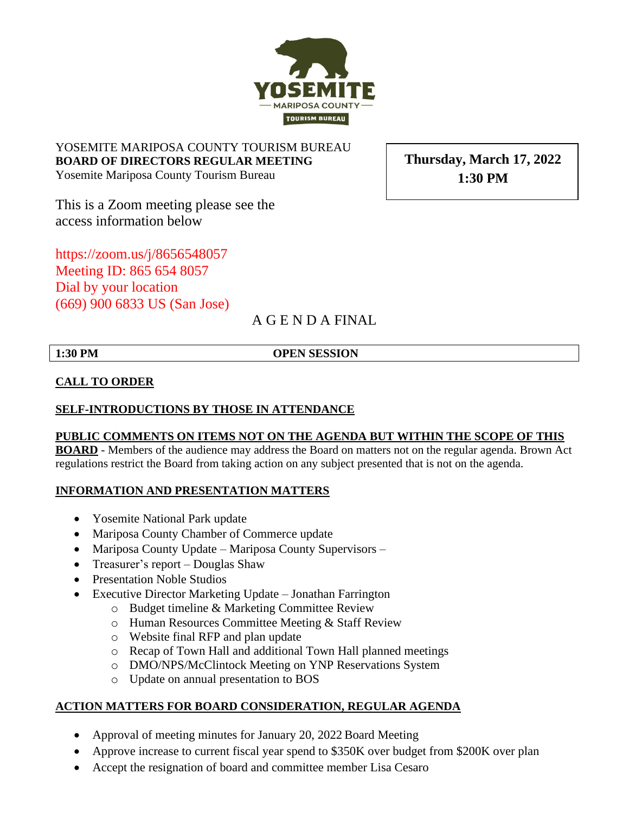YOSEMITE MARIPOSA COUNTY TOURISM BUREAU **BOARD OF DIRECTORS REGULAR MEETING** Yosemite Mariposa County Tourism Bureau

This is a Zoom meeting please see the access information below

<https://zoom.us/j/8656548057> Meeting ID: 865 654 8057 Dial by your location (669) 900 6833 US (San Jose)

# A G E N D A FINAL

**1:30 PM OPEN SESSION**

### **CALL TO ORDER**

#### **SELF-INTRODUCTIONS BY THOSE IN ATTENDANCE**

#### **PUBLIC COMMENTS ON ITEMS NOT ON THE AGENDA BUT WITHIN THE SCOPE OF THIS**

**BOARD** - Members of the audience may address the Board on matters not on the regular agenda. Brown Act regulations restrict the Board from taking action on any subject presented that is not on the agenda.

#### **INFORMATION AND PRESENTATION MATTERS**

- Yosemite National Park update
- Mariposa County Chamber of Commerce update
- Mariposa County Update Mariposa County Supervisors –
- Treasurer's report Douglas Shaw
- Presentation Noble Studios
- Executive Director Marketing Update Jonathan Farrington
	- o Budget timeline & Marketing Committee Review
	- o Human Resources Committee Meeting & Staff Review
	- o Website final RFP and plan update
	- o Recap of Town Hall and additional Town Hall planned meetings
	- o DMO/NPS/McClintock Meeting on YNP Reservations System
	- o Update on annual presentation to BOS

## **ACTION MATTERS FOR BOARD CONSIDERATION, REGULAR AGENDA**

- Approval of meeting minutes for January 20, 2022 Board Meeting
- Approve increase to current fiscal year spend to \$350K over budget from \$200K over plan
- Accept the resignation of board and committee member Lisa Cesaro